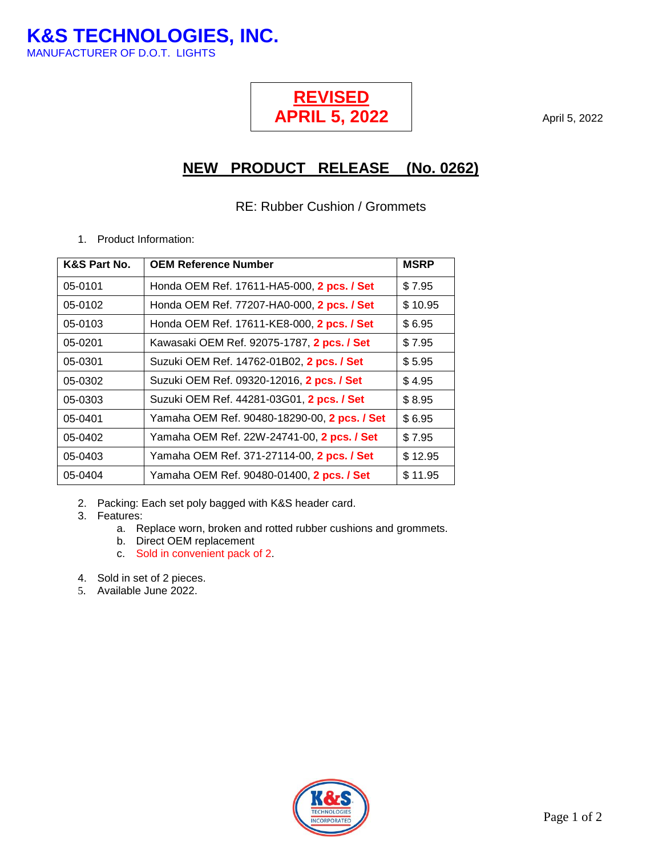**K&S TECHNOLOGIES, INC.** MANUFACTURER OF D.O.T. LIGHTS

## **REVISED APRIL 5, 2022**

April 5, 2022

## **NEW PRODUCT RELEASE (No. 0262)**

## RE: Rubber Cushion / Grommets

1. Product Information:

| K&S Part No. | <b>OEM Reference Number</b>                  | <b>MSRP</b> |
|--------------|----------------------------------------------|-------------|
| 05-0101      | Honda OEM Ref. 17611-HA5-000, 2 pcs. / Set   | \$7.95      |
| 05-0102      | Honda OEM Ref. 77207-HA0-000, 2 pcs. / Set   | \$10.95     |
| 05-0103      | Honda OEM Ref. 17611-KE8-000, 2 pcs. / Set   | \$6.95      |
| 05-0201      | Kawasaki OEM Ref. 92075-1787, 2 pcs. / Set   | \$7.95      |
| 05-0301      | Suzuki OEM Ref. 14762-01B02, 2 pcs. / Set    | \$5.95      |
| 05-0302      | Suzuki OEM Ref. 09320-12016, 2 pcs. / Set    | \$4.95      |
| 05-0303      | Suzuki OEM Ref. 44281-03G01, 2 pcs. / Set    | \$8.95      |
| 05-0401      | Yamaha OEM Ref. 90480-18290-00, 2 pcs. / Set | \$6.95      |
| 05-0402      | Yamaha OEM Ref. 22W-24741-00, 2 pcs. / Set   | \$7.95      |
| 05-0403      | Yamaha OEM Ref. 371-27114-00, 2 pcs. / Set   | \$12.95     |
| 05-0404      | Yamaha OEM Ref. 90480-01400, 2 pcs. / Set    | \$11.95     |

- 2. Packing: Each set poly bagged with K&S header card.
- 3. Features:
	- a. Replace worn, broken and rotted rubber cushions and grommets.
	- b. Direct OEM replacement
	- c. Sold in convenient pack of 2.
- 4. Sold in set of 2 pieces.
- 5. Available June 2022.